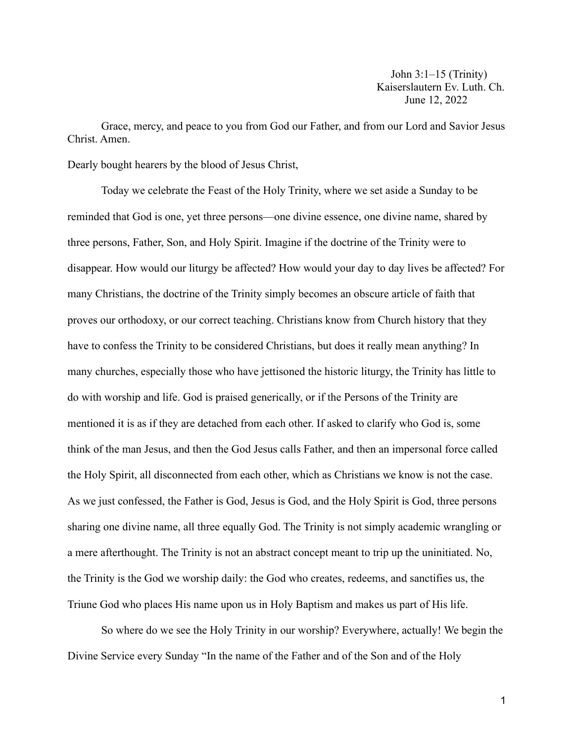Grace, mercy, and peace to you from God our Father, and from our Lord and Savior Jesus Christ. Amen.

Dearly bought hearers by the blood of Jesus Christ,

Today we celebrate the Feast of the Holy Trinity, where we set aside a Sunday to be reminded that God is one, yet three persons—one divine essence, one divine name, shared by three persons, Father, Son, and Holy Spirit. Imagine if the doctrine of the Trinity were to disappear. How would our liturgy be affected? How would your day to day lives be affected? For many Christians, the doctrine of the Trinity simply becomes an obscure article of faith that proves our orthodoxy, or our correct teaching. Christians know from Church history that they have to confess the Trinity to be considered Christians, but does it really mean anything? In many churches, especially those who have jettisoned the historic liturgy, the Trinity has little to do with worship and life. God is praised generically, or if the Persons of the Trinity are mentioned it is as if they are detached from each other. If asked to clarify who God is, some think of the man Jesus, and then the God Jesus calls Father, and then an impersonal force called the Holy Spirit, all disconnected from each other, which as Christians we know is not the case. As we just confessed, the Father is God, Jesus is God, and the Holy Spirit is God, three persons sharing one divine name, all three equally God. The Trinity is not simply academic wrangling or a mere afterthought. The Trinity is not an abstract concept meant to trip up the uninitiated. No, the Trinity is the God we worship daily: the God who creates, redeems, and sanctifies us, the Triune God who places His name upon us in Holy Baptism and makes us part of His life.

So where do we see the Holy Trinity in our worship? Everywhere, actually! We begin the Divine Service every Sunday "In the name of the Father and of the Son and of the Holy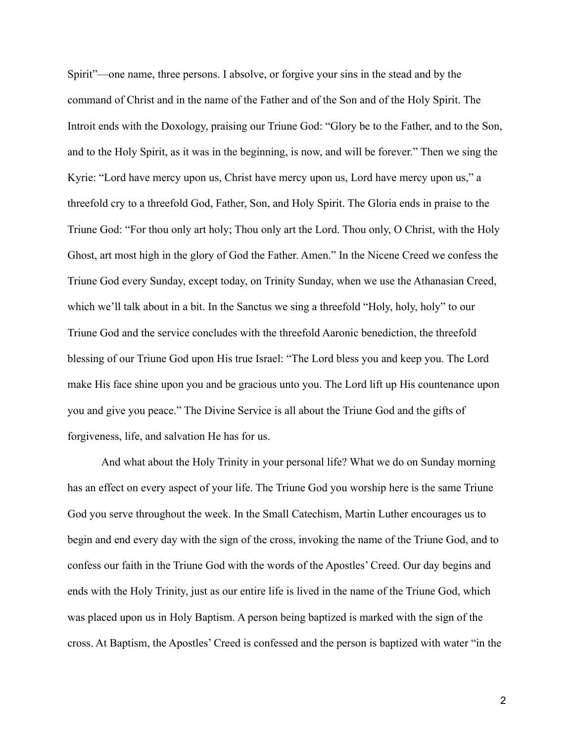Spirit"—one name, three persons. I absolve, or forgive your sins in the stead and by the command of Christ and in the name of the Father and of the Son and of the Holy Spirit. The Introit ends with the Doxology, praising our Triune God: "Glory be to the Father, and to the Son, and to the Holy Spirit, as it was in the beginning, is now, and will be forever." Then we sing the Kyrie: "Lord have mercy upon us, Christ have mercy upon us, Lord have mercy upon us," a threefold cry to a threefold God, Father, Son, and Holy Spirit. The Gloria ends in praise to the Triune God: "For thou only art holy; Thou only art the Lord. Thou only, O Christ, with the Holy Ghost, art most high in the glory of God the Father. Amen." In the Nicene Creed we confess the Triune God every Sunday, except today, on Trinity Sunday, when we use the Athanasian Creed, which we'll talk about in a bit. In the Sanctus we sing a threefold "Holy, holy, holy" to our Triune God and the service concludes with the threefold Aaronic benediction, the threefold blessing of our Triune God upon His true Israel: "The Lord bless you and keep you. The Lord make His face shine upon you and be gracious unto you. The Lord lift up His countenance upon you and give you peace." The Divine Service is all about the Triune God and the gifts of forgiveness, life, and salvation He has for us.

And what about the Holy Trinity in your personal life? What we do on Sunday morning has an effect on every aspect of your life. The Triune God you worship here is the same Triune God you serve throughout the week. In the Small Catechism, Martin Luther encourages us to begin and end every day with the sign of the cross, invoking the name of the Triune God, and to confess our faith in the Triune God with the words of the Apostles' Creed. Our day begins and ends with the Holy Trinity, just as our entire life is lived in the name of the Triune God, which was placed upon us in Holy Baptism. A person being baptized is marked with the sign of the cross. At Baptism, the Apostles' Creed is confessed and the person is baptized with water "in the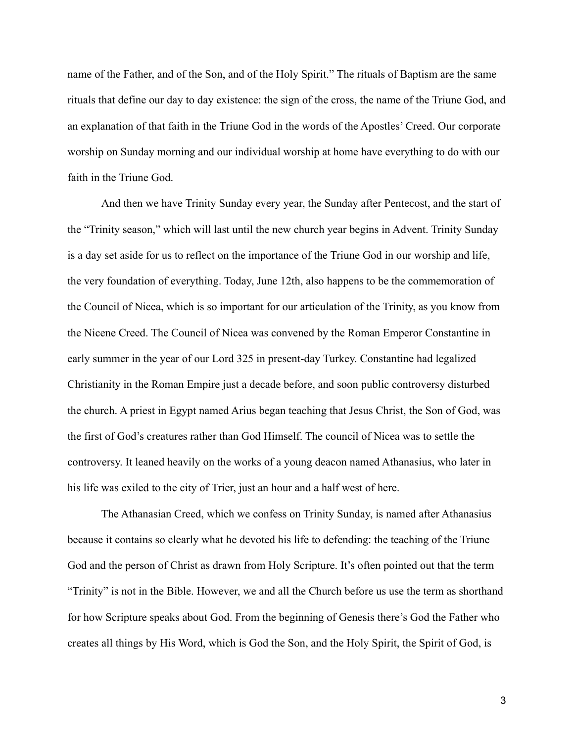name of the Father, and of the Son, and of the Holy Spirit." The rituals of Baptism are the same rituals that define our day to day existence: the sign of the cross, the name of the Triune God, and an explanation of that faith in the Triune God in the words of the Apostles' Creed. Our corporate worship on Sunday morning and our individual worship at home have everything to do with our faith in the Triune God.

And then we have Trinity Sunday every year, the Sunday after Pentecost, and the start of the "Trinity season," which will last until the new church year begins in Advent. Trinity Sunday is a day set aside for us to reflect on the importance of the Triune God in our worship and life, the very foundation of everything. Today, June 12th, also happens to be the commemoration of the Council of Nicea, which is so important for our articulation of the Trinity, as you know from the Nicene Creed. The Council of Nicea was convened by the Roman Emperor Constantine in early summer in the year of our Lord 325 in present-day Turkey. Constantine had legalized Christianity in the Roman Empire just a decade before, and soon public controversy disturbed the church. A priest in Egypt named Arius began teaching that Jesus Christ, the Son of God, was the first of God's creatures rather than God Himself. The council of Nicea was to settle the controversy. It leaned heavily on the works of a young deacon named Athanasius, who later in his life was exiled to the city of Trier, just an hour and a half west of here.

The Athanasian Creed, which we confess on Trinity Sunday, is named after Athanasius because it contains so clearly what he devoted his life to defending: the teaching of the Triune God and the person of Christ as drawn from Holy Scripture. It's often pointed out that the term "Trinity" is not in the Bible. However, we and all the Church before us use the term as shorthand for how Scripture speaks about God. From the beginning of Genesis there's God the Father who creates all things by His Word, which is God the Son, and the Holy Spirit, the Spirit of God, is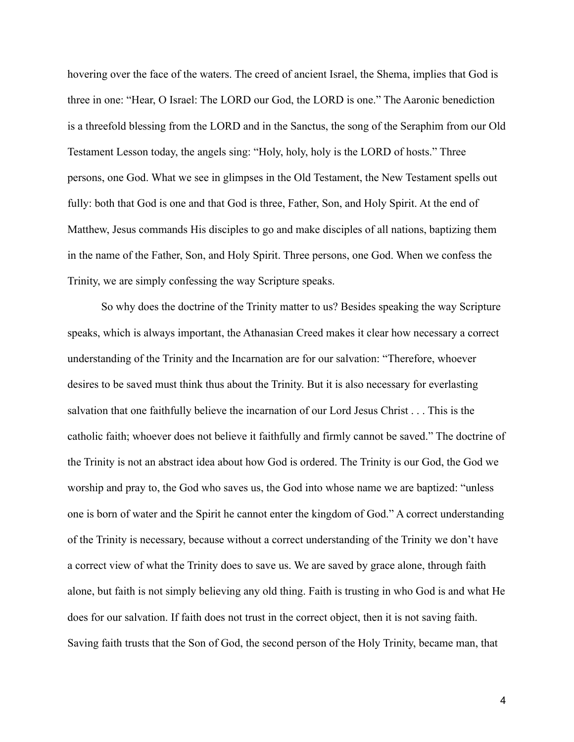hovering over the face of the waters. The creed of ancient Israel, the Shema, implies that God is three in one: "Hear, O Israel: The LORD our God, the LORD is one." The Aaronic benediction is a threefold blessing from the LORD and in the Sanctus, the song of the Seraphim from our Old Testament Lesson today, the angels sing: "Holy, holy, holy is the LORD of hosts." Three persons, one God. What we see in glimpses in the Old Testament, the New Testament spells out fully: both that God is one and that God is three, Father, Son, and Holy Spirit. At the end of Matthew, Jesus commands His disciples to go and make disciples of all nations, baptizing them in the name of the Father, Son, and Holy Spirit. Three persons, one God. When we confess the Trinity, we are simply confessing the way Scripture speaks.

So why does the doctrine of the Trinity matter to us? Besides speaking the way Scripture speaks, which is always important, the Athanasian Creed makes it clear how necessary a correct understanding of the Trinity and the Incarnation are for our salvation: "Therefore, whoever desires to be saved must think thus about the Trinity. But it is also necessary for everlasting salvation that one faithfully believe the incarnation of our Lord Jesus Christ . . . This is the catholic faith; whoever does not believe it faithfully and firmly cannot be saved." The doctrine of the Trinity is not an abstract idea about how God is ordered. The Trinity is our God, the God we worship and pray to, the God who saves us, the God into whose name we are baptized: "unless one is born of water and the Spirit he cannot enter the kingdom of God." A correct understanding of the Trinity is necessary, because without a correct understanding of the Trinity we don't have a correct view of what the Trinity does to save us. We are saved by grace alone, through faith alone, but faith is not simply believing any old thing. Faith is trusting in who God is and what He does for our salvation. If faith does not trust in the correct object, then it is not saving faith. Saving faith trusts that the Son of God, the second person of the Holy Trinity, became man, that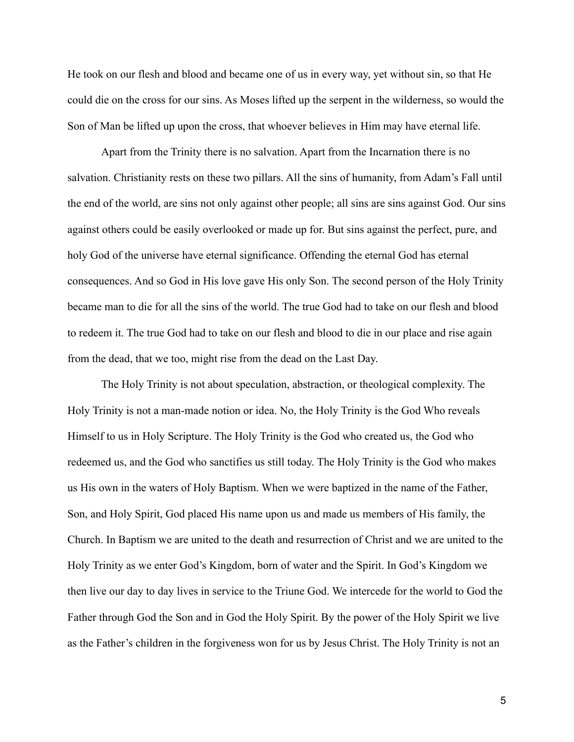He took on our flesh and blood and became one of us in every way, yet without sin, so that He could die on the cross for our sins. As Moses lifted up the serpent in the wilderness, so would the Son of Man be lifted up upon the cross, that whoever believes in Him may have eternal life.

Apart from the Trinity there is no salvation. Apart from the Incarnation there is no salvation. Christianity rests on these two pillars. All the sins of humanity, from Adam's Fall until the end of the world, are sins not only against other people; all sins are sins against God. Our sins against others could be easily overlooked or made up for. But sins against the perfect, pure, and holy God of the universe have eternal significance. Offending the eternal God has eternal consequences. And so God in His love gave His only Son. The second person of the Holy Trinity became man to die for all the sins of the world. The true God had to take on our flesh and blood to redeem it. The true God had to take on our flesh and blood to die in our place and rise again from the dead, that we too, might rise from the dead on the Last Day.

The Holy Trinity is not about speculation, abstraction, or theological complexity. The Holy Trinity is not a man-made notion or idea. No, the Holy Trinity is the God Who reveals Himself to us in Holy Scripture. The Holy Trinity is the God who created us, the God who redeemed us, and the God who sanctifies us still today. The Holy Trinity is the God who makes us His own in the waters of Holy Baptism. When we were baptized in the name of the Father, Son, and Holy Spirit, God placed His name upon us and made us members of His family, the Church. In Baptism we are united to the death and resurrection of Christ and we are united to the Holy Trinity as we enter God's Kingdom, born of water and the Spirit. In God's Kingdom we then live our day to day lives in service to the Triune God. We intercede for the world to God the Father through God the Son and in God the Holy Spirit. By the power of the Holy Spirit we live as the Father's children in the forgiveness won for us by Jesus Christ. The Holy Trinity is not an